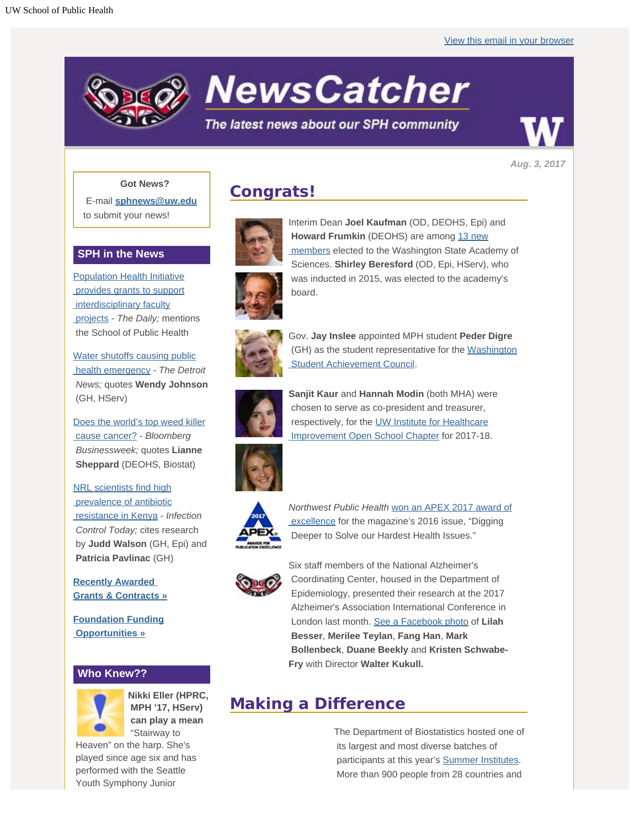

# **NewsCatcher**

## The latest news about our SPH community



*Aug. 3, 2017*

#### **Got News?**

E-mail **[sphnews@uw.edu](mailto:sphnews@uw.edu)** to submit your news!

### **SPH in the News**

**[Population Health Initiative](http://engage.washington.edu/site/R?i=8qr_KQGIdnHtRE86PLyN0A)**  [provides grants to support](http://engage.washington.edu/site/R?i=8qr_KQGIdnHtRE86PLyN0A) interdisciplinary faculty  [projects](http://engage.washington.edu/site/R?i=8qr_KQGIdnHtRE86PLyN0A) - *The Daily;* mentions the School of Public Health

[Water shutoffs causing public](http://engage.washington.edu/site/R?i=h7RfDJN6pmIXTH6g0d7gDA)  [health emergency](http://engage.washington.edu/site/R?i=h7RfDJN6pmIXTH6g0d7gDA) - *The Detroit News;* quotes **Wendy Johnson** (GH, HServ)

[Does the world's top weed killer](http://engage.washington.edu/site/R?i=I72RTIOxctB7weLbit8LYQ)  [cause cancer?](http://engage.washington.edu/site/R?i=I72RTIOxctB7weLbit8LYQ) - *Bloomberg Businessweek;* quotes **Lianne Sheppard** (DEOHS, Biostat)

[NRL scientists find high](http://engage.washington.edu/site/R?i=oIF5LKcE9NP3ELtKPXDZJw)  [prevalence of antibiotic](http://engage.washington.edu/site/R?i=oIF5LKcE9NP3ELtKPXDZJw)  [resistance in Kenya](http://engage.washington.edu/site/R?i=oIF5LKcE9NP3ELtKPXDZJw) - *Infection Control Today;* cites research by **Judd Walson** (GH, Epi) and **Patricia Pavlinac** (GH)

**[Recently Awarded](http://engage.washington.edu/site/R?i=JJ4djwxLZgOVLlrFCusNag)  [Grants & Contracts »](http://engage.washington.edu/site/R?i=JJ4djwxLZgOVLlrFCusNag)**

**[Foundation Funding](http://engage.washington.edu/site/R?i=2e3mLQ8vv41EvUTaF7GO6A)  [Opportunities »](http://engage.washington.edu/site/R?i=2e3mLQ8vv41EvUTaF7GO6A)**

## **Who Knew??**



**Nikki Eller (HPRC, MPH '17, HServ) can play a mean** "Stairway to

 Heaven" on the harp. She's played since age six and has performed with the Seattle Youth Symphony Junior

# **Congrats!**



Interim Dean **Joel Kaufman** (OD, DEOHS, Epi) and **Howard Frumkin** (DEOHS) are among [13 new](http://engage.washington.edu/site/R?i=JM2pvJXNzDcJRQ_UauDtog)  [members](http://engage.washington.edu/site/R?i=JM2pvJXNzDcJRQ_UauDtog) elected to the Washington State Academy of Sciences. **Shirley Beresford** (OD, Epi, HServ), who was inducted in 2015, was elected to the academy's board.



Gov. **Jay Inslee** appointed MPH student **Peder Digre** (GH) as the student representative for the [Washington](http://engage.washington.edu/site/R?i=uUg_14TC93_yvjCFowtRFg)  [Student Achievement Council](http://engage.washington.edu/site/R?i=uUg_14TC93_yvjCFowtRFg).



**Sanjit Kaur** and **Hannah Modin** (both MHA) were chosen to serve as co-president and treasurer, respectively, for the [UW Institute for Healthcare](http://engage.washington.edu/site/R?i=_U6hr5HIqF_ezwoBqQFH8w)  [Improvement Open School Chapter](http://engage.washington.edu/site/R?i=_U6hr5HIqF_ezwoBqQFH8w) for 2017-18.







Six staff members of the National Alzheimer's Coordinating Center, housed in the Department of Epidemiology, presented their research at the 2017 Alzheimer's Association International Conference in London last month. [See a Facebook photo](http://engage.washington.edu/site/R?i=IwgsBqqpqhlgxiXDsfUoPQ) of **Lilah Besser**, **Merilee Teylan**, **Fang Han**, **Mark Bollenbeck**, **Duane Beekly** and **Kristen Schwabe-Fry** with Director **Walter Kukull.**

# **Making a Difference**

The Department of Biostatistics hosted one of its largest and most diverse batches of participants at this year's [Summer Institutes](http://engage.washington.edu/site/R?i=XgnQ-rOBklLxnEdE0QlCLQ). More than 900 people from 28 countries and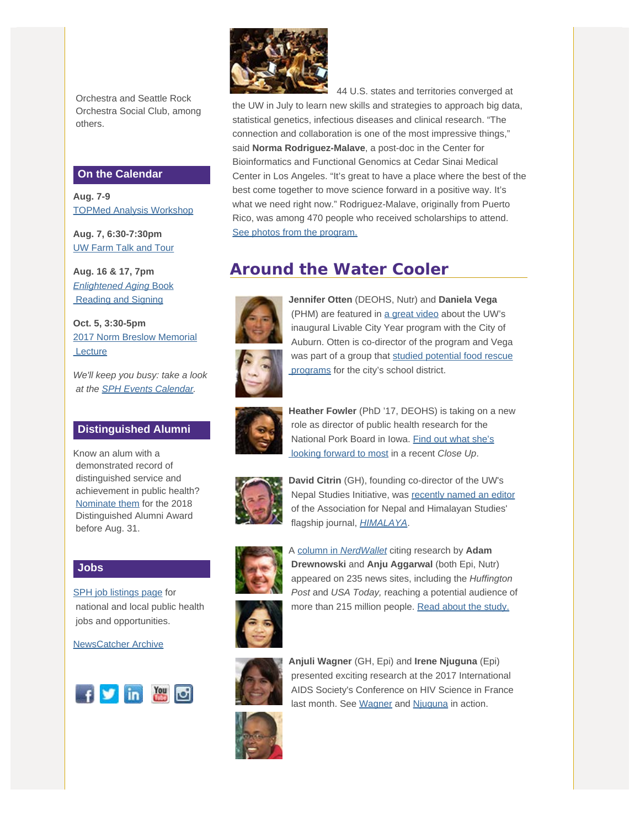Orchestra and Seattle Rock Orchestra Social Club, among others.

#### **On the Calendar**

**Aug. 7-9** [TOPMed Analysis Workshop](http://engage.washington.edu/site/R?i=wsVvEWMHX1zHRVv7aji9Zg)

**Aug. 7, 6:30-7:30pm** [UW Farm Talk and Tour](http://engage.washington.edu/site/R?i=mmiaJgJFRRXh5A1-uLXszw)

**Aug. 16 & 17, 7pm** *[Enlightened Aging](http://engage.washington.edu/site/R?i=vcwfmMQX4y55KR_YrPJMrQ)* [Book](http://engage.washington.edu/site/R?i=vcwfmMQX4y55KR_YrPJMrQ)  [Reading and Signing](http://engage.washington.edu/site/R?i=vcwfmMQX4y55KR_YrPJMrQ)

**Oct. 5, 3:30-5pm** [2017 Norm Breslow Memorial](http://engage.washington.edu/site/R?i=hBjQQKbsL01WIcUcBgBz9Q) **Lecture** 

*We'll keep you busy: take a look at the [SPH Events Calendar](http://engage.washington.edu/site/R?i=Br3u2M7bV_fVWhX-7UF7Dg).*

### **Distinguished Alumni**

Know an alum with a demonstrated record of distinguished service and achievement in public health? [Nominate them](http://engage.washington.edu/site/R?i=mCR1VlCqyPYKfv3Uc2-gRA) for the 2018 Distinguished Alumni Award before Aug. 31.

#### **Jobs**

[SPH job listings page](http://engage.washington.edu/site/R?i=S-4TGsoi7Llf9xyIuVCO1A) for national and local public health jobs and opportunities.

[NewsCatcher Archive](http://engage.washington.edu/site/R?i=cmriGXqHXBR_8WTVl8qj7Q)





 44 U.S. states and territories converged at the UW in July to learn new skills and strategies to approach big data, statistical genetics, infectious diseases and clinical research. "The connection and collaboration is one of the most impressive things," said **Norma Rodriguez-Malave**, a post-doc in the Center for Bioinformatics and Functional Genomics at Cedar Sinai Medical Center in Los Angeles. "It's great to have a place where the best of the best come together to move science forward in a positive way. It's what we need right now." Rodriguez-Malave, originally from Puerto Rico, was among 470 people who received scholarships to attend. [See photos from the program.](http://engage.washington.edu/site/R?i=61BVYM7vaBrIt4mnh2EfRw)

# **Around the Water Cooler**



**Jennifer Otten** (DEOHS, Nutr) and **Daniela Vega** (PHM) are featured in [a great video](http://engage.washington.edu/site/R?i=j5gHwzGckRSMjZaU5XiyrA) about the UW's inaugural Livable City Year program with the City of Auburn. Otten is co-director of the program and Vega was part of a group that [studied potential food rescue](http://engage.washington.edu/site/R?i=Xu_q2tshK5jtiN9doMNHvA)  [programs](http://engage.washington.edu/site/R?i=Xu_q2tshK5jtiN9doMNHvA) for the city's school district.



**Heather Fowler** (PhD '17, DEOHS) is taking on a new role as director of public health research for the National Pork Board in Iowa. [Find out what she's](http://engage.washington.edu/site/R?i=TP1HFLvYYapQ_oMamlnl8Q)  [looking forward to most](http://engage.washington.edu/site/R?i=TP1HFLvYYapQ_oMamlnl8Q) in a recent *Close Up*.



**David Citrin** (GH), founding co-director of the UW's Nepal Studies Initiative, was [recently named an editor](http://engage.washington.edu/site/R?i=D-c8PzuZjAS_eVUZa0gqKw) of the Association for Nepal and Himalayan Studies' flagship journal, *[HIMALAYA](http://engage.washington.edu/site/R?i=8OUU5fAy4wq8vuM5MhJB4Q)*.



A [column in](http://engage.washington.edu/site/R?i=ESe9ab_BbocFT0KSeDxnvw) *[NerdWallet](http://engage.washington.edu/site/R?i=az_aNWeU9mpVxVjZxWGwUw)* citing research by **Adam Drewnowski** and **Anju Aggarwal** (both Epi, Nutr) appeared on 235 news sites, including the *Huffington Post* and *USA Today,* reaching a potential audience of more than 215 million people. [Read about the study.](http://engage.washington.edu/site/R?i=tBQuA6yZHQaX6ga8l5h6vQ)



**Anjuli Wagner** (GH, Epi) and **Irene Njuguna** (Epi) presented exciting research at the 2017 International AIDS Society's Conference on HIV Science in France last month. See [Wagner](http://engage.washington.edu/site/R?i=C0oQSyMlA9uEAe_3lP3m8Q) and [Njuguna](http://engage.washington.edu/site/R?i=h2apJcKGn3uXspp6heVi5Q) in action.